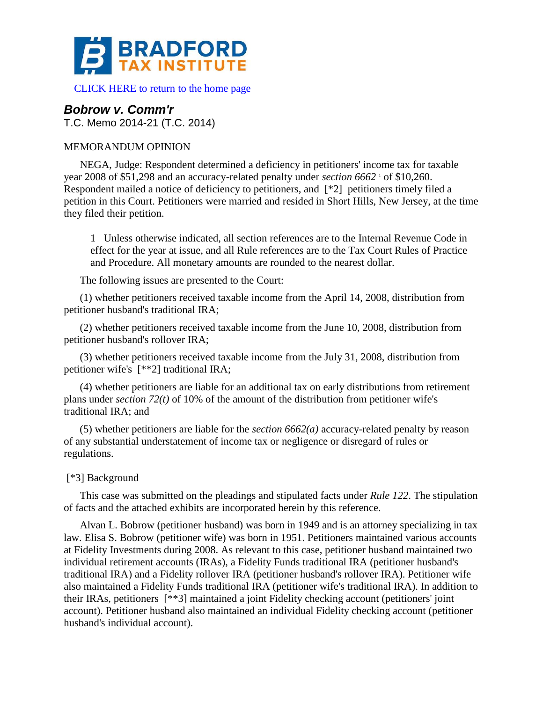

[CLICK HERE to return to the home page](http://bradfordtaxinstitute.com/index1.aspx) 

# *Bobrow v. Comm'r*

T.C. Memo 2014-21 (T.C. 2014)

# MEMORANDUM OPINION

NEGA, Judge: Respondent determined a deficiency in petitioners' income tax for taxable year 2008 of \$51,298 and an accuracy-related penalty under *section* 6662<sup>*'*</sup> of \$10,260. Respondent mailed a notice of deficiency to petitioners, and [\*2] petitioners timely filed a petition in this Court. Petitioners were married and resided in Short Hills, New Jersey, at the time they filed their petition.

1 Unless otherwise indicated, all section references are to the Internal Revenue Code in effect for the year at issue, and all Rule references are to the Tax Court Rules of Practice and Procedure. All monetary amounts are rounded to the nearest dollar.

The following issues are presented to the Court:

(1) whether petitioners received taxable income from the April 14, 2008, distribution from petitioner husband's traditional IRA;

(2) whether petitioners received taxable income from the June 10, 2008, distribution from petitioner husband's rollover IRA;

(3) whether petitioners received taxable income from the July 31, 2008, distribution from petitioner wife's [\*\*2] traditional IRA;

(4) whether petitioners are liable for an additional tax on early distributions from retirement plans under *section 72(t)* of 10% of the amount of the distribution from petitioner wife's traditional IRA; and

(5) whether petitioners are liable for the *section 6662(a)* accuracy-related penalty by reason of any substantial understatement of income tax or negligence or disregard of rules or regulations.

# [\*3] Background

This case was submitted on the pleadings and stipulated facts under *Rule 122*. The stipulation of facts and the attached exhibits are incorporated herein by this reference.

Alvan L. Bobrow (petitioner husband) was born in 1949 and is an attorney specializing in tax law. Elisa S. Bobrow (petitioner wife) was born in 1951. Petitioners maintained various accounts at Fidelity Investments during 2008. As relevant to this case, petitioner husband maintained two individual retirement accounts (IRAs), a Fidelity Funds traditional IRA (petitioner husband's traditional IRA) and a Fidelity rollover IRA (petitioner husband's rollover IRA). Petitioner wife also maintained a Fidelity Funds traditional IRA (petitioner wife's traditional IRA). In addition to their IRAs, petitioners [\*\*3] maintained a joint Fidelity checking account (petitioners' joint account). Petitioner husband also maintained an individual Fidelity checking account (petitioner husband's individual account).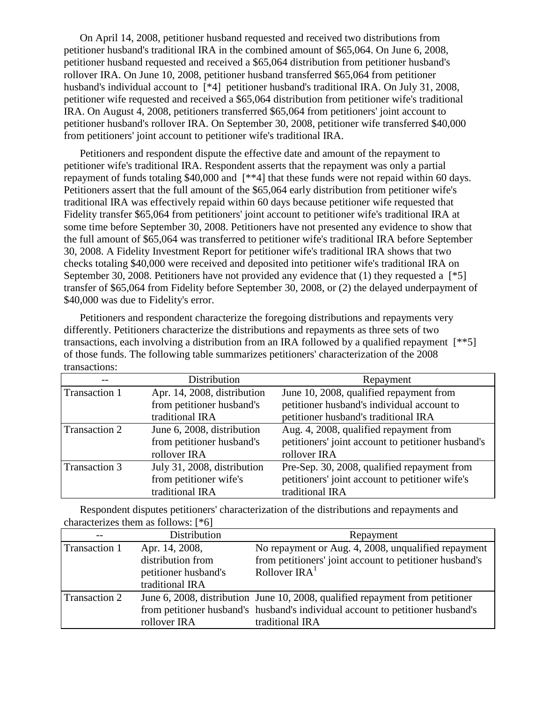On April 14, 2008, petitioner husband requested and received two distributions from petitioner husband's traditional IRA in the combined amount of \$65,064. On June 6, 2008, petitioner husband requested and received a \$65,064 distribution from petitioner husband's rollover IRA. On June 10, 2008, petitioner husband transferred \$65,064 from petitioner husband's individual account to [\*4] petitioner husband's traditional IRA. On July 31, 2008, petitioner wife requested and received a \$65,064 distribution from petitioner wife's traditional IRA. On August 4, 2008, petitioners transferred \$65,064 from petitioners' joint account to petitioner husband's rollover IRA. On September 30, 2008, petitioner wife transferred \$40,000 from petitioners' joint account to petitioner wife's traditional IRA.

Petitioners and respondent dispute the effective date and amount of the repayment to petitioner wife's traditional IRA. Respondent asserts that the repayment was only a partial repayment of funds totaling \$40,000 and [\*\*4] that these funds were not repaid within 60 days. Petitioners assert that the full amount of the \$65,064 early distribution from petitioner wife's traditional IRA was effectively repaid within 60 days because petitioner wife requested that Fidelity transfer \$65,064 from petitioners' joint account to petitioner wife's traditional IRA at some time before September 30, 2008. Petitioners have not presented any evidence to show that the full amount of \$65,064 was transferred to petitioner wife's traditional IRA before September 30, 2008. A Fidelity Investment Report for petitioner wife's traditional IRA shows that two checks totaling \$40,000 were received and deposited into petitioner wife's traditional IRA on September 30, 2008. Petitioners have not provided any evidence that (1) they requested a  $[^*5]$ transfer of \$65,064 from Fidelity before September 30, 2008, or (2) the delayed underpayment of \$40,000 was due to Fidelity's error.

Petitioners and respondent characterize the foregoing distributions and repayments very differently. Petitioners characterize the distributions and repayments as three sets of two transactions, each involving a distribution from an IRA followed by a qualified repayment [\*\*5] of those funds. The following table summarizes petitioners' characterization of the 2008 transactions:

|               | Distribution                | Repayment                                          |
|---------------|-----------------------------|----------------------------------------------------|
| Transaction 1 | Apr. 14, 2008, distribution | June 10, 2008, qualified repayment from            |
|               | from petitioner husband's   | petitioner husband's individual account to         |
|               | traditional IRA             | petitioner husband's traditional IRA               |
| Transaction 2 | June 6, 2008, distribution  | Aug. 4, 2008, qualified repayment from             |
|               | from petitioner husband's   | petitioners' joint account to petitioner husband's |
|               | rollover IRA                | rollover IRA                                       |
| Transaction 3 | July 31, 2008, distribution | Pre-Sep. 30, 2008, qualified repayment from        |
|               | from petitioner wife's      | petitioners' joint account to petitioner wife's    |
|               | traditional IRA             | traditional IRA                                    |

Respondent disputes petitioners' characterization of the distributions and repayments and characterizes them as follows: [\*6]

| $-$           | Distribution         | Repayment                                                                      |
|---------------|----------------------|--------------------------------------------------------------------------------|
| Transaction 1 | Apr. 14, 2008,       | No repayment or Aug. 4, 2008, unqualified repayment                            |
|               | distribution from    | from petitioners' joint account to petitioner husband's                        |
|               | petitioner husband's | Rollover $\text{IRA}^1$                                                        |
|               | traditional IRA      |                                                                                |
| Transaction 2 |                      | June 6, 2008, distribution June 10, 2008, qualified repayment from petitioner  |
|               |                      | from petitioner husband's husband's individual account to petitioner husband's |
|               | rollover IRA         | traditional IRA                                                                |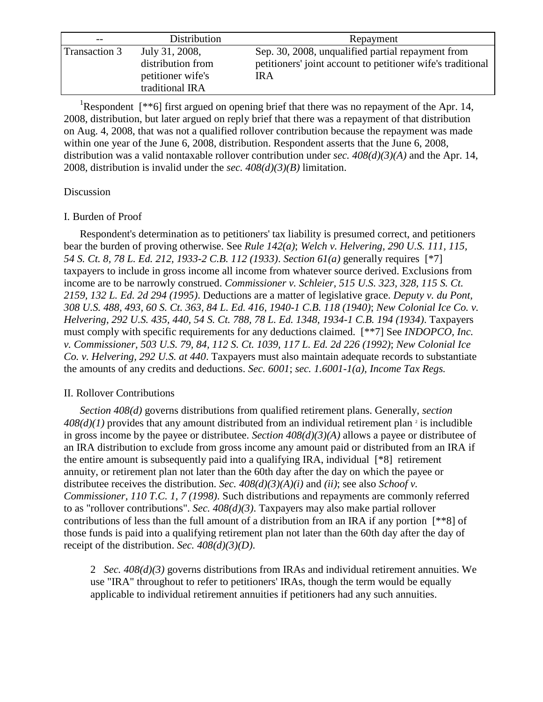| $- -$                | Distribution      | Repayment                                                   |
|----------------------|-------------------|-------------------------------------------------------------|
| <b>Transaction 3</b> | July 31, 2008,    | Sep. 30, 2008, unqualified partial repayment from           |
|                      | distribution from | petitioners' joint account to petitioner wife's traditional |
|                      | petitioner wife's | <b>IRA</b>                                                  |
|                      | traditional IRA   |                                                             |

<sup>1</sup>Respondent  $[**6]$  first argued on opening brief that there was no repayment of the Apr. 14, 2008, distribution, but later argued on reply brief that there was a repayment of that distribution on Aug. 4, 2008, that was not a qualified rollover contribution because the repayment was made within one year of the June 6, 2008, distribution. Respondent asserts that the June 6, 2008, distribution was a valid nontaxable rollover contribution under *sec. 408(d)(3)(A)* and the Apr. 14, 2008, distribution is invalid under the *sec. 408(d)(3)(B)* limitation.

## Discussion

#### I. Burden of Proof

Respondent's determination as to petitioners' tax liability is presumed correct, and petitioners bear the burden of proving otherwise. See *Rule 142(a)*; *Welch v. Helvering, 290 U.S. 111, 115, 54 S. Ct. 8, 78 L. Ed. 212, 1933-2 C.B. 112 (1933)*. *Section 61(a)* generally requires [\*7] taxpayers to include in gross income all income from whatever source derived. Exclusions from income are to be narrowly construed. *Commissioner v. Schleier, 515 U.S. 323, 328, 115 S. Ct. 2159, 132 L. Ed. 2d 294 (1995)*. Deductions are a matter of legislative grace. *Deputy v. du Pont, 308 U.S. 488, 493, 60 S. Ct. 363, 84 L. Ed. 416, 1940-1 C.B. 118 (1940)*; *New Colonial Ice Co. v. Helvering, 292 U.S. 435, 440, 54 S. Ct. 788, 78 L. Ed. 1348, 1934-1 C.B. 194 (1934)*. Taxpayers must comply with specific requirements for any deductions claimed. [\*\*7] See *INDOPCO, Inc. v. Commissioner, 503 U.S. 79, 84, 112 S. Ct. 1039, 117 L. Ed. 2d 226 (1992)*; *New Colonial Ice Co. v. Helvering, 292 U.S. at 440*. Taxpayers must also maintain adequate records to substantiate the amounts of any credits and deductions. *Sec. 6001*; *sec. 1.6001-1(a), Income Tax Regs.*

## II. Rollover Contributions

*Section 408(d)* governs distributions from qualified retirement plans. Generally, *section*   $408(d)(1)$  provides that any amount distributed from an individual retirement plan<sup>2</sup> is includible in gross income by the payee or distributee. *Section 408(d)(3)(A)* allows a payee or distributee of an IRA distribution to exclude from gross income any amount paid or distributed from an IRA if the entire amount is subsequently paid into a qualifying IRA, individual [\*8] retirement annuity, or retirement plan not later than the 60th day after the day on which the payee or distributee receives the distribution. *Sec. 408(d)(3)(A)(i)* and *(ii)*; see also *Schoof v. Commissioner, 110 T.C. 1, 7 (1998)*. Such distributions and repayments are commonly referred to as "rollover contributions". *Sec. 408(d)(3)*. Taxpayers may also make partial rollover contributions of less than the full amount of a distribution from an IRA if any portion [\*\*8] of those funds is paid into a qualifying retirement plan not later than the 60th day after the day of receipt of the distribution. *Sec. 408(d)(3)(D)*.

2 *Sec. 408(d)(3)* governs distributions from IRAs and individual retirement annuities. We use "IRA" throughout to refer to petitioners' IRAs, though the term would be equally applicable to individual retirement annuities if petitioners had any such annuities.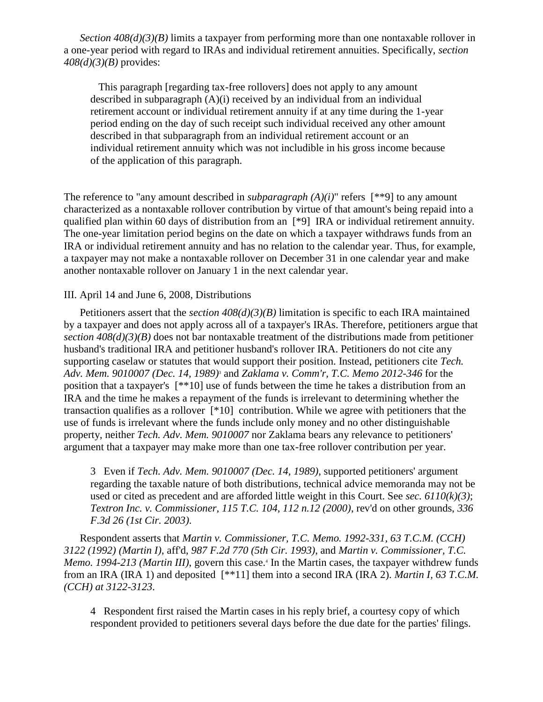*Section 408(d)(3)(B)* limits a taxpayer from performing more than one nontaxable rollover in a one-year period with regard to IRAs and individual retirement annuities. Specifically, *section 408(d)(3)(B)* provides:

 This paragraph [regarding tax-free rollovers] does not apply to any amount described in subparagraph (A)(i) received by an individual from an individual retirement account or individual retirement annuity if at any time during the 1-year period ending on the day of such receipt such individual received any other amount described in that subparagraph from an individual retirement account or an individual retirement annuity which was not includible in his gross income because of the application of this paragraph.

The reference to "any amount described in *subparagraph*  $(A)(i)$ " refers [\*\*9] to any amount characterized as a nontaxable rollover contribution by virtue of that amount's being repaid into a qualified plan within 60 days of distribution from an [\*9] IRA or individual retirement annuity. The one-year limitation period begins on the date on which a taxpayer withdraws funds from an IRA or individual retirement annuity and has no relation to the calendar year. Thus, for example, a taxpayer may not make a nontaxable rollover on December 31 in one calendar year and make another nontaxable rollover on January 1 in the next calendar year.

#### III. April 14 and June 6, 2008, Distributions

Petitioners assert that the *section 408(d)(3)(B)* limitation is specific to each IRA maintained by a taxpayer and does not apply across all of a taxpayer's IRAs. Therefore, petitioners argue that *section 408(d)(3)(B)* does not bar nontaxable treatment of the distributions made from petitioner husband's traditional IRA and petitioner husband's rollover IRA. Petitioners do not cite any supporting caselaw or statutes that would support their position. Instead, petitioners cite *Tech. Adv. Mem. 9010007 (Dec. 14, 1989)*<sup>3</sup> and *Zaklama v. Comm'r, T.C. Memo 2012-346* for the position that a taxpayer's [\*\*10] use of funds between the time he takes a distribution from an IRA and the time he makes a repayment of the funds is irrelevant to determining whether the transaction qualifies as a rollover [\*10] contribution. While we agree with petitioners that the use of funds is irrelevant where the funds include only money and no other distinguishable property, neither *Tech. Adv. Mem. 9010007* nor Zaklama bears any relevance to petitioners' argument that a taxpayer may make more than one tax-free rollover contribution per year.

3 Even if *Tech. Adv. Mem. 9010007 (Dec. 14, 1989)*, supported petitioners' argument regarding the taxable nature of both distributions, technical advice memoranda may not be used or cited as precedent and are afforded little weight in this Court. See *sec. 6110(k)(3)*; *Textron Inc. v. Commissioner, 115 T.C. 104, 112 n.12 (2000)*, rev'd on other grounds, *336 F.3d 26 (1st Cir. 2003)*.

Respondent asserts that *Martin v. Commissioner, T.C. Memo. 1992-331, 63 T.C.M. (CCH) 3122 (1992) (Martin I)*, aff'd, *987 F.2d 770 (5th Cir. 1993)*, and *Martin v. Commissioner, T.C.*  Memo. 1994-213 (Martin III), govern this case.<sup>4</sup> In the Martin cases, the taxpayer withdrew funds from an IRA (IRA 1) and deposited [\*\*11] them into a second IRA (IRA 2). *Martin I, 63 T.C.M. (CCH) at 3122-3123*.

4 Respondent first raised the Martin cases in his reply brief, a courtesy copy of which respondent provided to petitioners several days before the due date for the parties' filings.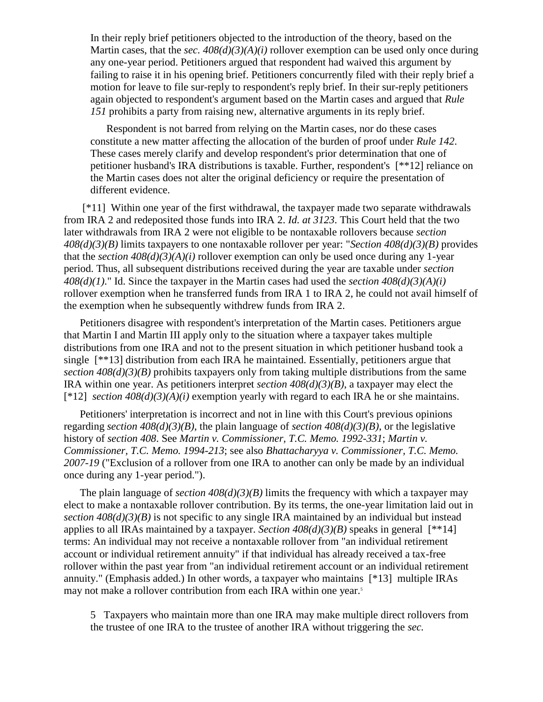In their reply brief petitioners objected to the introduction of the theory, based on the Martin cases, that the *sec. 408(d)(3)(A)(i)* rollover exemption can be used only once during any one-year period. Petitioners argued that respondent had waived this argument by failing to raise it in his opening brief. Petitioners concurrently filed with their reply brief a motion for leave to file sur-reply to respondent's reply brief. In their sur-reply petitioners again objected to respondent's argument based on the Martin cases and argued that *Rule 151* prohibits a party from raising new, alternative arguments in its reply brief.

Respondent is not barred from relying on the Martin cases, nor do these cases constitute a new matter affecting the allocation of the burden of proof under *Rule 142*. These cases merely clarify and develop respondent's prior determination that one of petitioner husband's IRA distributions is taxable. Further, respondent's [\*\*12] reliance on the Martin cases does not alter the original deficiency or require the presentation of different evidence.

[\*11] Within one year of the first withdrawal, the taxpayer made two separate withdrawals from IRA 2 and redeposited those funds into IRA 2. *Id. at 3123*. This Court held that the two later withdrawals from IRA 2 were not eligible to be nontaxable rollovers because *section 408(d)(3)(B)* limits taxpayers to one nontaxable rollover per year: "*Section 408(d)(3)(B)* provides that the *section 408(d)(3)(A)(i)* rollover exemption can only be used once during any 1-year period. Thus, all subsequent distributions received during the year are taxable under *section 408(d)(1)*." Id. Since the taxpayer in the Martin cases had used the *section 408(d)(3)(A)(i)* rollover exemption when he transferred funds from IRA 1 to IRA 2, he could not avail himself of the exemption when he subsequently withdrew funds from IRA 2.

Petitioners disagree with respondent's interpretation of the Martin cases. Petitioners argue that Martin I and Martin III apply only to the situation where a taxpayer takes multiple distributions from one IRA and not to the present situation in which petitioner husband took a single [\*\*13] distribution from each IRA he maintained. Essentially, petitioners argue that *section 408(d)(3)(B)* prohibits taxpayers only from taking multiple distributions from the same IRA within one year. As petitioners interpret *section 408(d)(3)(B)*, a taxpayer may elect the  $[*12]$  *section 408(d)(3)(A)(i)* exemption yearly with regard to each IRA he or she maintains.

Petitioners' interpretation is incorrect and not in line with this Court's previous opinions regarding *section 408(d)(3)(B)*, the plain language of *section 408(d)(3)(B)*, or the legislative history of *section 408*. See *Martin v. Commissioner, T.C. Memo. 1992-331*; *Martin v. Commissioner, T.C. Memo. 1994-213*; see also *Bhattacharyya v. Commissioner, T.C. Memo. 2007-19* ("Exclusion of a rollover from one IRA to another can only be made by an individual once during any 1-year period.").

The plain language of *section 408(d)(3)(B)* limits the frequency with which a taxpayer may elect to make a nontaxable rollover contribution. By its terms, the one-year limitation laid out in *section 408(d)(3)(B)* is not specific to any single IRA maintained by an individual but instead applies to all IRAs maintained by a taxpayer. *Section*  $408(d)(3)(B)$  speaks in general [\*\*14] terms: An individual may not receive a nontaxable rollover from "an individual retirement account or individual retirement annuity" if that individual has already received a tax-free rollover within the past year from "an individual retirement account or an individual retirement annuity." (Emphasis added.) In other words, a taxpayer who maintains [\*13] multiple IRAs may not make a rollover contribution from each IRA within one year.<sup>5</sup>

5 Taxpayers who maintain more than one IRA may make multiple direct rollovers from the trustee of one IRA to the trustee of another IRA without triggering the *sec.*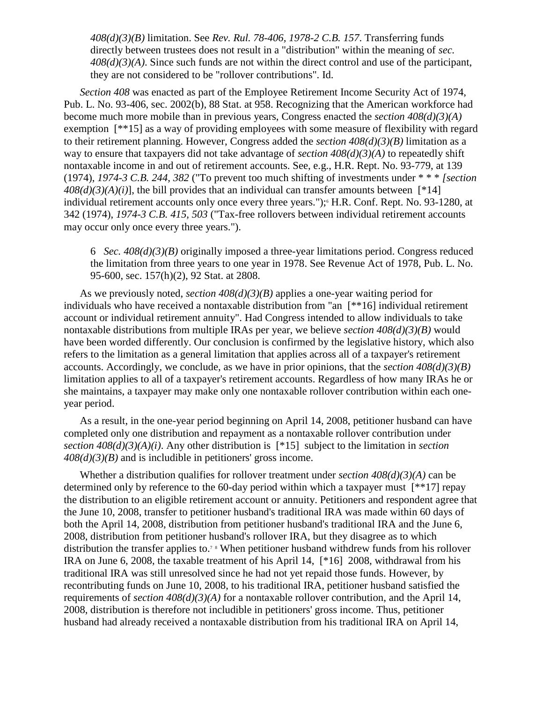*408(d)(3)(B)* limitation. See *Rev. Rul. 78-406, 1978-2 C.B. 157*. Transferring funds directly between trustees does not result in a "distribution" within the meaning of *sec. 408(d)(3)(A)*. Since such funds are not within the direct control and use of the participant, they are not considered to be "rollover contributions". Id.

*Section 408* was enacted as part of the Employee Retirement Income Security Act of 1974, Pub. L. No. 93-406, sec. 2002(b), 88 Stat. at 958. Recognizing that the American workforce had become much more mobile than in previous years, Congress enacted the *section 408(d)(3)(A)* exemption [\*\*15] as a way of providing employees with some measure of flexibility with regard to their retirement planning. However, Congress added the *section 408(d)(3)(B)* limitation as a way to ensure that taxpayers did not take advantage of *section 408(d)(3)(A)* to repeatedly shift nontaxable income in and out of retirement accounts. See, e.g., H.R. Rept. No. 93-779, at 139 (1974), *1974-3 C.B. 244, 382* ("To prevent too much shifting of investments under \* \* \* *[section*   $408(d)(3)(A)(i)$ ], the bill provides that an individual can transfer amounts between [\*14] individual retirement accounts only once every three years.");<sup>6</sup> H.R. Conf. Rept. No. 93-1280, at 342 (1974), *1974-3 C.B. 415, 503* ("Tax-free rollovers between individual retirement accounts may occur only once every three years.").

6 *Sec. 408(d)(3)(B)* originally imposed a three-year limitations period. Congress reduced the limitation from three years to one year in 1978. See Revenue Act of 1978, Pub. L. No. 95-600, sec. 157(h)(2), 92 Stat. at 2808.

As we previously noted, *section 408(d)(3)(B)* applies a one-year waiting period for individuals who have received a nontaxable distribution from "an [\*\*16] individual retirement account or individual retirement annuity". Had Congress intended to allow individuals to take nontaxable distributions from multiple IRAs per year, we believe *section 408(d)(3)(B)* would have been worded differently. Our conclusion is confirmed by the legislative history, which also refers to the limitation as a general limitation that applies across all of a taxpayer's retirement accounts. Accordingly, we conclude, as we have in prior opinions, that the *section 408(d)(3)(B)* limitation applies to all of a taxpayer's retirement accounts. Regardless of how many IRAs he or she maintains, a taxpayer may make only one nontaxable rollover contribution within each oneyear period.

As a result, in the one-year period beginning on April 14, 2008, petitioner husband can have completed only one distribution and repayment as a nontaxable rollover contribution under *section 408(d)(3)(A)(i)*. Any other distribution is [\*15] subject to the limitation in *section 408(d)(3)(B)* and is includible in petitioners' gross income.

Whether a distribution qualifies for rollover treatment under *section 408(d)(3)(A)* can be determined only by reference to the 60-day period within which a taxpayer must [\*\*17] repay the distribution to an eligible retirement account or annuity. Petitioners and respondent agree that the June 10, 2008, transfer to petitioner husband's traditional IRA was made within 60 days of both the April 14, 2008, distribution from petitioner husband's traditional IRA and the June 6, 2008, distribution from petitioner husband's rollover IRA, but they disagree as to which distribution the transfer applies to.<sup>7</sup> <sup>8</sup> When petitioner husband withdrew funds from his rollover IRA on June 6, 2008, the taxable treatment of his April 14, [\*16] 2008, withdrawal from his traditional IRA was still unresolved since he had not yet repaid those funds. However, by recontributing funds on June 10, 2008, to his traditional IRA, petitioner husband satisfied the requirements of *section 408(d)(3)(A)* for a nontaxable rollover contribution, and the April 14, 2008, distribution is therefore not includible in petitioners' gross income. Thus, petitioner husband had already received a nontaxable distribution from his traditional IRA on April 14,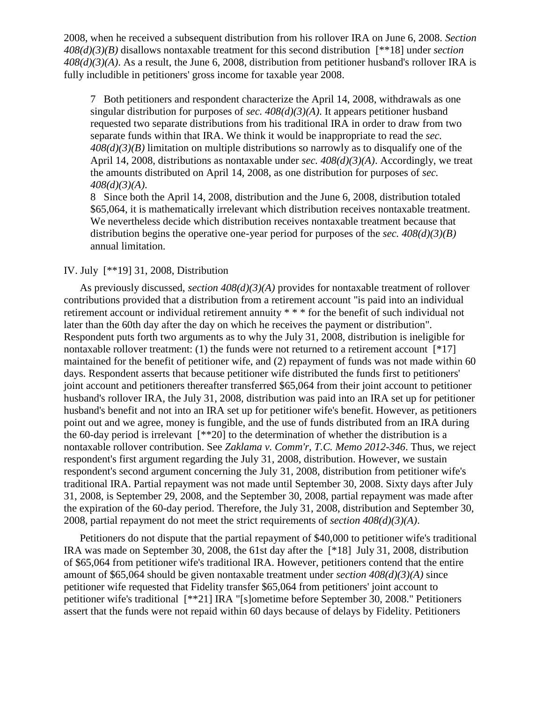2008, when he received a subsequent distribution from his rollover IRA on June 6, 2008. *Section 408(d)(3)(B)* disallows nontaxable treatment for this second distribution [\*\*18] under *section 408(d)(3)(A)*. As a result, the June 6, 2008, distribution from petitioner husband's rollover IRA is fully includible in petitioners' gross income for taxable year 2008.

7 Both petitioners and respondent characterize the April 14, 2008, withdrawals as one singular distribution for purposes of *sec.*  $408(d)(3)(A)$ . It appears petitioner husband requested two separate distributions from his traditional IRA in order to draw from two separate funds within that IRA. We think it would be inappropriate to read the *sec. 408(d)(3)(B)* limitation on multiple distributions so narrowly as to disqualify one of the April 14, 2008, distributions as nontaxable under *sec. 408(d)(3)(A)*. Accordingly, we treat the amounts distributed on April 14, 2008, as one distribution for purposes of *sec. 408(d)(3)(A)*.

8 Since both the April 14, 2008, distribution and the June 6, 2008, distribution totaled \$65,064, it is mathematically irrelevant which distribution receives nontaxable treatment. We nevertheless decide which distribution receives nontaxable treatment because that distribution begins the operative one-year period for purposes of the *sec. 408(d)(3)(B)* annual limitation.

### IV. July [\*\*19] 31, 2008, Distribution

As previously discussed, *section 408(d)(3)(A)* provides for nontaxable treatment of rollover contributions provided that a distribution from a retirement account "is paid into an individual retirement account or individual retirement annuity \* \* \* for the benefit of such individual not later than the 60th day after the day on which he receives the payment or distribution". Respondent puts forth two arguments as to why the July 31, 2008, distribution is ineligible for nontaxable rollover treatment: (1) the funds were not returned to a retirement account  $[^*17]$ maintained for the benefit of petitioner wife, and (2) repayment of funds was not made within 60 days. Respondent asserts that because petitioner wife distributed the funds first to petitioners' joint account and petitioners thereafter transferred \$65,064 from their joint account to petitioner husband's rollover IRA, the July 31, 2008, distribution was paid into an IRA set up for petitioner husband's benefit and not into an IRA set up for petitioner wife's benefit. However, as petitioners point out and we agree, money is fungible, and the use of funds distributed from an IRA during the 60-day period is irrelevant  $[**20]$  to the determination of whether the distribution is a nontaxable rollover contribution. See *Zaklama v. Comm'r, T.C. Memo 2012-346*. Thus, we reject respondent's first argument regarding the July 31, 2008, distribution. However, we sustain respondent's second argument concerning the July 31, 2008, distribution from petitioner wife's traditional IRA. Partial repayment was not made until September 30, 2008. Sixty days after July 31, 2008, is September 29, 2008, and the September 30, 2008, partial repayment was made after the expiration of the 60-day period. Therefore, the July 31, 2008, distribution and September 30, 2008, partial repayment do not meet the strict requirements of *section 408(d)(3)(A)*.

Petitioners do not dispute that the partial repayment of \$40,000 to petitioner wife's traditional IRA was made on September 30, 2008, the 61st day after the [\*18] July 31, 2008, distribution of \$65,064 from petitioner wife's traditional IRA. However, petitioners contend that the entire amount of \$65,064 should be given nontaxable treatment under *section 408(d)(3)(A)* since petitioner wife requested that Fidelity transfer \$65,064 from petitioners' joint account to petitioner wife's traditional [\*\*21] IRA "[s]ometime before September 30, 2008." Petitioners assert that the funds were not repaid within 60 days because of delays by Fidelity. Petitioners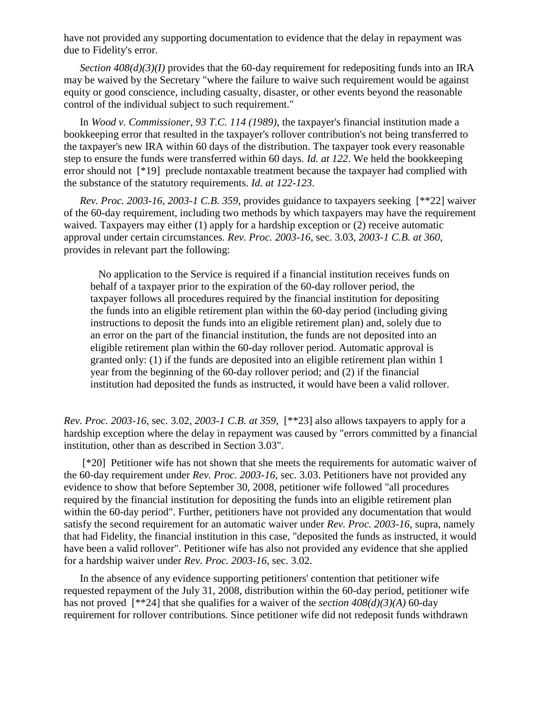have not provided any supporting documentation to evidence that the delay in repayment was due to Fidelity's error.

*Section 408(d)(3)(I)* provides that the 60-day requirement for redepositing funds into an IRA may be waived by the Secretary "where the failure to waive such requirement would be against equity or good conscience, including casualty, disaster, or other events beyond the reasonable control of the individual subject to such requirement."

In *Wood v. Commissioner, 93 T.C. 114 (1989)*, the taxpayer's financial institution made a bookkeeping error that resulted in the taxpayer's rollover contribution's not being transferred to the taxpayer's new IRA within 60 days of the distribution. The taxpayer took every reasonable step to ensure the funds were transferred within 60 days. *Id. at 122*. We held the bookkeeping error should not [\*19] preclude nontaxable treatment because the taxpayer had complied with the substance of the statutory requirements. *Id. at 122-123*.

*Rev. Proc. 2003-16, 2003-1 C.B. 359*, provides guidance to taxpayers seeking [\*\*22] waiver of the 60-day requirement, including two methods by which taxpayers may have the requirement waived. Taxpayers may either (1) apply for a hardship exception or (2) receive automatic approval under certain circumstances. *Rev. Proc. 2003-16*, sec. 3.03, *2003-1 C.B. at 360*, provides in relevant part the following:

 No application to the Service is required if a financial institution receives funds on behalf of a taxpayer prior to the expiration of the 60-day rollover period, the taxpayer follows all procedures required by the financial institution for depositing the funds into an eligible retirement plan within the 60-day period (including giving instructions to deposit the funds into an eligible retirement plan) and, solely due to an error on the part of the financial institution, the funds are not deposited into an eligible retirement plan within the 60-day rollover period. Automatic approval is granted only: (1) if the funds are deposited into an eligible retirement plan within 1 year from the beginning of the 60-day rollover period; and (2) if the financial institution had deposited the funds as instructed, it would have been a valid rollover.

*Rev. Proc. 2003-16*, sec. 3.02, *2003-1 C.B. at 359*, [\*\*23] also allows taxpayers to apply for a hardship exception where the delay in repayment was caused by "errors committed by a financial institution, other than as described in Section 3.03".

[\*20] Petitioner wife has not shown that she meets the requirements for automatic waiver of the 60-day requirement under *Rev. Proc. 2003-16*, sec. 3.03. Petitioners have not provided any evidence to show that before September 30, 2008, petitioner wife followed "all procedures required by the financial institution for depositing the funds into an eligible retirement plan within the 60-day period". Further, petitioners have not provided any documentation that would satisfy the second requirement for an automatic waiver under *Rev. Proc. 2003-16*, supra, namely that had Fidelity, the financial institution in this case, "deposited the funds as instructed, it would have been a valid rollover". Petitioner wife has also not provided any evidence that she applied for a hardship waiver under *Rev. Proc. 2003-16*, sec. 3.02.

In the absence of any evidence supporting petitioners' contention that petitioner wife requested repayment of the July 31, 2008, distribution within the 60-day period, petitioner wife has not proved [\*\*24] that she qualifies for a waiver of the *section 408(d)(3)(A)* 60-day requirement for rollover contributions. Since petitioner wife did not redeposit funds withdrawn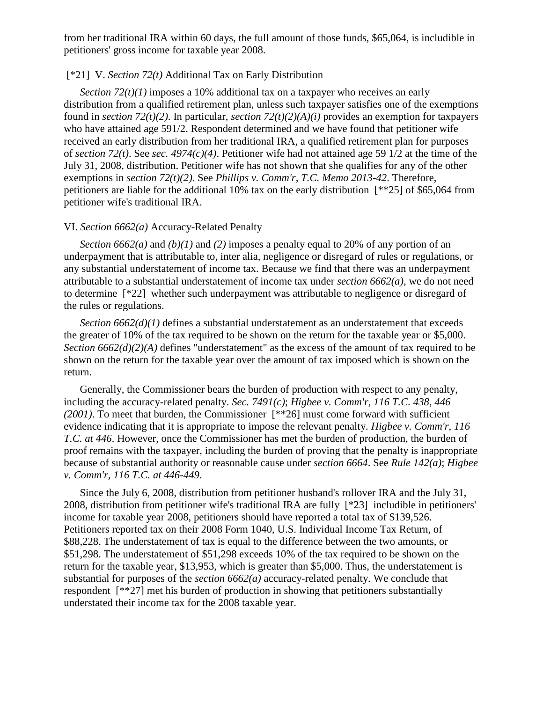from her traditional IRA within 60 days, the full amount of those funds, \$65,064, is includible in petitioners' gross income for taxable year 2008.

## [\*21] V. *Section 72(t)* Additional Tax on Early Distribution

*Section 72(t)(1)* imposes a 10% additional tax on a taxpayer who receives an early distribution from a qualified retirement plan, unless such taxpayer satisfies one of the exemptions found in *section 72(t)(2)*. In particular, *section 72(t)(2)(A)(i)* provides an exemption for taxpayers who have attained age 591/2. Respondent determined and we have found that petitioner wife received an early distribution from her traditional IRA, a qualified retirement plan for purposes of *section 72(t)*. See *sec. 4974(c)(4)*. Petitioner wife had not attained age 59 1/2 at the time of the July 31, 2008, distribution. Petitioner wife has not shown that she qualifies for any of the other exemptions in *section 72(t)(2)*. See *Phillips v. Comm'r, T.C. Memo 2013-42*. Therefore, petitioners are liable for the additional 10% tax on the early distribution [\*\*25] of \$65,064 from petitioner wife's traditional IRA.

#### VI. *Section 6662(a)* Accuracy-Related Penalty

*Section 6662(a)* and *(b)(1)* and *(2)* imposes a penalty equal to 20% of any portion of an underpayment that is attributable to, inter alia, negligence or disregard of rules or regulations, or any substantial understatement of income tax. Because we find that there was an underpayment attributable to a substantial understatement of income tax under *section 6662(a)*, we do not need to determine [\*22] whether such underpayment was attributable to negligence or disregard of the rules or regulations.

*Section 6662(d)(1)* defines a substantial understatement as an understatement that exceeds the greater of 10% of the tax required to be shown on the return for the taxable year or \$5,000. *Section 6662(d)(2)(A)* defines "understatement" as the excess of the amount of tax required to be shown on the return for the taxable year over the amount of tax imposed which is shown on the return.

Generally, the Commissioner bears the burden of production with respect to any penalty, including the accuracy-related penalty. *Sec. 7491(c)*; *Higbee v. Comm'r, 116 T.C. 438, 446 (2001)*. To meet that burden, the Commissioner [\*\*26] must come forward with sufficient evidence indicating that it is appropriate to impose the relevant penalty. *Higbee v. Comm'r, 116 T.C. at 446*. However, once the Commissioner has met the burden of production, the burden of proof remains with the taxpayer, including the burden of proving that the penalty is inappropriate because of substantial authority or reasonable cause under *section 6664*. See *Rule 142(a)*; *Higbee v. Comm'r, 116 T.C. at 446-449*.

Since the July 6, 2008, distribution from petitioner husband's rollover IRA and the July 31, 2008, distribution from petitioner wife's traditional IRA are fully [\*23] includible in petitioners' income for taxable year 2008, petitioners should have reported a total tax of \$139,526. Petitioners reported tax on their 2008 Form 1040, U.S. Individual Income Tax Return, of \$88,228. The understatement of tax is equal to the difference between the two amounts, or \$51,298. The understatement of \$51,298 exceeds 10% of the tax required to be shown on the return for the taxable year, \$13,953, which is greater than \$5,000. Thus, the understatement is substantial for purposes of the *section 6662(a)* accuracy-related penalty. We conclude that respondent [\*\*27] met his burden of production in showing that petitioners substantially understated their income tax for the 2008 taxable year.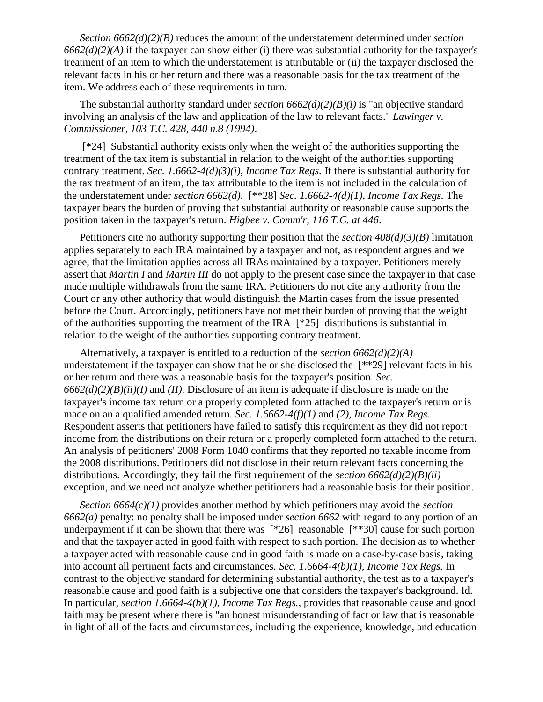*Section 6662(d)(2)(B)* reduces the amount of the understatement determined under *section 6662(d)(2)(A)* if the taxpayer can show either (i) there was substantial authority for the taxpayer's treatment of an item to which the understatement is attributable or (ii) the taxpayer disclosed the relevant facts in his or her return and there was a reasonable basis for the tax treatment of the item. We address each of these requirements in turn.

The substantial authority standard under *section 6662(d)(2)(B)(i)* is "an objective standard involving an analysis of the law and application of the law to relevant facts." *Lawinger v. Commissioner, 103 T.C. 428, 440 n.8 (1994)*.

[\*24] Substantial authority exists only when the weight of the authorities supporting the treatment of the tax item is substantial in relation to the weight of the authorities supporting contrary treatment. *Sec. 1.6662-4(d)(3)(i), Income Tax Regs.* If there is substantial authority for the tax treatment of an item, the tax attributable to the item is not included in the calculation of the understatement under *section 6662(d)*. [\*\*28] *Sec. 1.6662-4(d)(1), Income Tax Regs.* The taxpayer bears the burden of proving that substantial authority or reasonable cause supports the position taken in the taxpayer's return. *Higbee v. Comm'r, 116 T.C. at 446*.

Petitioners cite no authority supporting their position that the *section 408(d)(3)(B)* limitation applies separately to each IRA maintained by a taxpayer and not, as respondent argues and we agree, that the limitation applies across all IRAs maintained by a taxpayer. Petitioners merely assert that *Martin I* and *Martin III* do not apply to the present case since the taxpayer in that case made multiple withdrawals from the same IRA. Petitioners do not cite any authority from the Court or any other authority that would distinguish the Martin cases from the issue presented before the Court. Accordingly, petitioners have not met their burden of proving that the weight of the authorities supporting the treatment of the IRA [\*25] distributions is substantial in relation to the weight of the authorities supporting contrary treatment.

Alternatively, a taxpayer is entitled to a reduction of the *section 6662(d)(2)(A)* understatement if the taxpayer can show that he or she disclosed the [\*\*29] relevant facts in his or her return and there was a reasonable basis for the taxpayer's position. *Sec. 6662(d)(2)(B)(ii)(I)* and *(II)*. Disclosure of an item is adequate if disclosure is made on the taxpayer's income tax return or a properly completed form attached to the taxpayer's return or is made on an a qualified amended return. *Sec. 1.6662-4(f)(1)* and *(2), Income Tax Regs.* Respondent asserts that petitioners have failed to satisfy this requirement as they did not report income from the distributions on their return or a properly completed form attached to the return. An analysis of petitioners' 2008 Form 1040 confirms that they reported no taxable income from the 2008 distributions. Petitioners did not disclose in their return relevant facts concerning the distributions. Accordingly, they fail the first requirement of the *section 6662(d)(2)(B)(ii)* exception, and we need not analyze whether petitioners had a reasonable basis for their position.

*Section 6664(c)(1)* provides another method by which petitioners may avoid the *section 6662(a)* penalty: no penalty shall be imposed under *section 6662* with regard to any portion of an underpayment if it can be shown that there was [\*26] reasonable [\*\*30] cause for such portion and that the taxpayer acted in good faith with respect to such portion. The decision as to whether a taxpayer acted with reasonable cause and in good faith is made on a case-by-case basis, taking into account all pertinent facts and circumstances. *Sec. 1.6664-4(b)(1), Income Tax Regs.* In contrast to the objective standard for determining substantial authority, the test as to a taxpayer's reasonable cause and good faith is a subjective one that considers the taxpayer's background. Id. In particular, *section 1.6664-4(b)(1), Income Tax Regs.*, provides that reasonable cause and good faith may be present where there is "an honest misunderstanding of fact or law that is reasonable in light of all of the facts and circumstances, including the experience, knowledge, and education